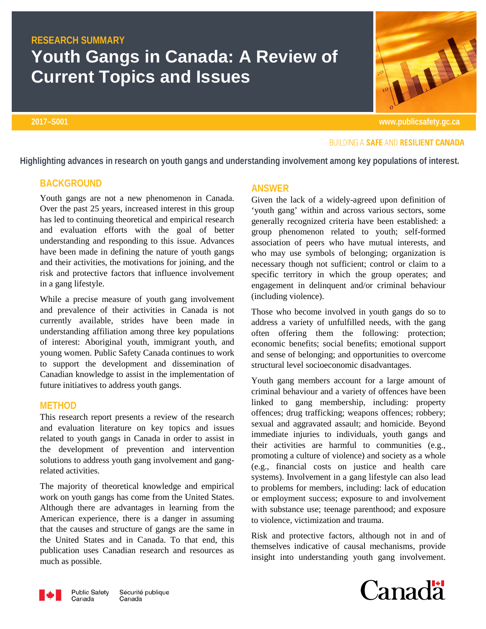# **RESEARCH SUMMARY Youth Gangs in Canada: A Review of Current Topics and Issues**

### **2017–S001 www.publicsafety.gc.ca**

## **ANSWER**

Given the lack of a widely-agreed upon definition of 'youth gang' within and across various sectors, some generally recognized criteria have been established: a group phenomenon related to youth; self-formed association of peers who have mutual interests, and who may use symbols of belonging; organization is necessary though not sufficient; control or claim to a specific territory in which the group operates; and engagement in delinquent and/or criminal behaviour (including violence).

Those who become involved in youth gangs do so to address a variety of unfulfilled needs, with the gang often offering them the following: protection; economic benefits; social benefits; emotional support and sense of belonging; and opportunities to overcome structural level socioeconomic disadvantages.

Youth gang members account for a large amount of criminal behaviour and a variety of offences have been linked to gang membership, including: property offences; drug trafficking; weapons offences; robbery; sexual and aggravated assault; and homicide. Beyond immediate injuries to individuals, youth gangs and their activities are harmful to communities (e.g., promoting a culture of violence) and society as a whole (e.g., financial costs on justice and health care systems). Involvement in a gang lifestyle can also lead to problems for members, including: lack of education or employment success; exposure to and involvement with substance use; teenage parenthood; and exposure to violence, victimization and trauma.

Risk and protective factors, although not in and of themselves indicative of causal mechanisms, provide insight into understanding youth gang involvement.







**BUILDING A SAFE AND RESILIENT CANADA** 

**Highlighting advances in research on youth gangs and understanding involvement among key populations of interest.** 

## **BACKGROUND**

Youth gangs are not a new phenomenon in Canada. Over the past 25 years, increased interest in this group has led to continuing theoretical and empirical research and evaluation efforts with the goal of better understanding and responding to this issue. Advances have been made in defining the nature of youth gangs and their activities, the motivations for joining, and the risk and protective factors that influence involvement in a gang lifestyle.

While a precise measure of youth gang involvement and prevalence of their activities in Canada is not currently available, strides have been made in understanding affiliation among three key populations of interest: Aboriginal youth, immigrant youth, and young women. Public Safety Canada continues to work to support the development and dissemination of Canadian knowledge to assist in the implementation of future initiatives to address youth gangs.

## **METHOD**

This research report presents a review of the research and evaluation literature on key topics and issues related to youth gangs in Canada in order to assist in the development of prevention and intervention solutions to address youth gang involvement and gangrelated activities.

The majority of theoretical knowledge and empirical work on youth gangs has come from the United States. Although there are advantages in learning from the American experience, there is a danger in assuming that the causes and structure of gangs are the same in the United States and in Canada. To that end, this publication uses Canadian research and resources as much as possible.